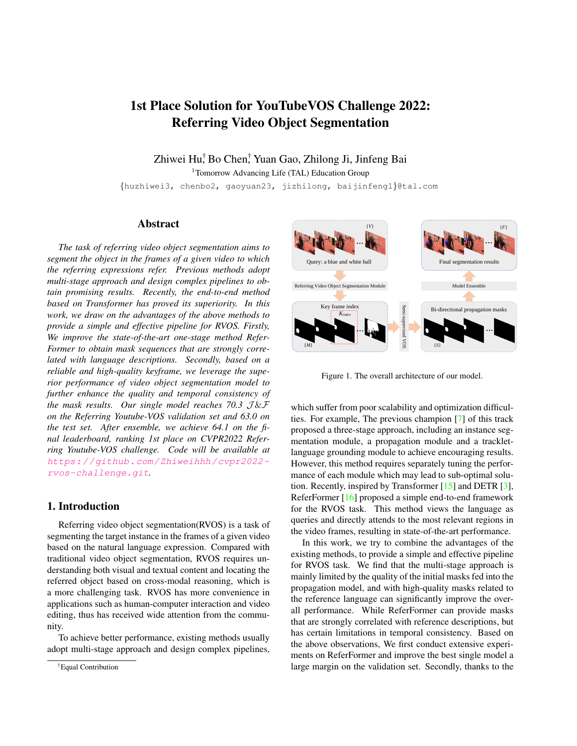# <span id="page-0-1"></span>1st Place Solution for YouTubeVOS Challenge 2022: Referring Video Object Segmentation

Zhiwei Hu† , Bo Chen† , Yuan Gao, Zhilong Ji, Jinfeng Bai

<sup>1</sup>Tomorrow Advancing Life (TAL) Education Group

{huzhiwei3, chenbo2, gaoyuan23, jizhilong, baijinfeng1}@tal.com

## Abstract

*The task of referring video object segmentation aims to segment the object in the frames of a given video to which the referring expressions refer. Previous methods adopt multi-stage approach and design complex pipelines to obtain promising results. Recently, the end-to-end method based on Transformer has proved its superiority. In this work, we draw on the advantages of the above methods to provide a simple and effective pipeline for RVOS. Firstly, We improve the state-of-the-art one-stage method Refer-Former to obtain mask sequences that are strongly correlated with language descriptions. Secondly, based on a reliable and high-quality keyframe, we leverage the superior performance of video object segmentation model to further enhance the quality and temporal consistency of the mask results. Our single model reaches 70.3*  $J \& F$ *on the Referring Youtube-VOS validation set and 63.0 on the test set. After ensemble, we achieve 64.1 on the final leaderboard, ranking 1st place on CVPR2022 Referring Youtube-VOS challenge. Code will be available at* [https://github.com/Zhiweihhh/cvpr2022](https://github.com/Zhiweihhh/cvpr2022-rvos-challenge.git) [rvos-challenge.git](https://github.com/Zhiweihhh/cvpr2022-rvos-challenge.git)*.*

## 1. Introduction

Referring video object segmentation(RVOS) is a task of segmenting the target instance in the frames of a given video based on the natural language expression. Compared with traditional video object segmentation, RVOS requires understanding both visual and textual content and locating the referred object based on cross-modal reasoning, which is a more challenging task. RVOS has more convenience in applications such as human-computer interaction and video editing, thus has received wide attention from the community.

To achieve better performance, existing methods usually adopt multi-stage approach and design complex pipelines,

<span id="page-0-0"></span>

Figure 1. The overall architecture of our model.

which suffer from poor scalability and optimization difficulties. For example, The previous champion [\[7\]](#page-3-0) of this track proposed a three-stage approach, including an instance segmentation module, a propagation module and a trackletlanguage grounding module to achieve encouraging results. However, this method requires separately tuning the performance of each module which may lead to sub-optimal solution. Recently, inspired by Transformer [\[15\]](#page-3-1) and DETR [\[3\]](#page-3-2), ReferFormer [\[16\]](#page-3-3) proposed a simple end-to-end framework for the RVOS task. This method views the language as queries and directly attends to the most relevant regions in the video frames, resulting in state-of-the-art performance.

In this work, we try to combine the advantages of the existing methods, to provide a simple and effective pipeline for RVOS task. We find that the multi-stage approach is mainly limited by the quality of the initial masks fed into the propagation model, and with high-quality masks related to the reference language can significantly improve the overall performance. While ReferFormer can provide masks that are strongly correlated with reference descriptions, but has certain limitations in temporal consistency. Based on the above observations, We first conduct extensive experiments on ReferFormer and improve the best single model a large margin on the validation set. Secondly, thanks to the

<sup>†</sup>Equal Contribution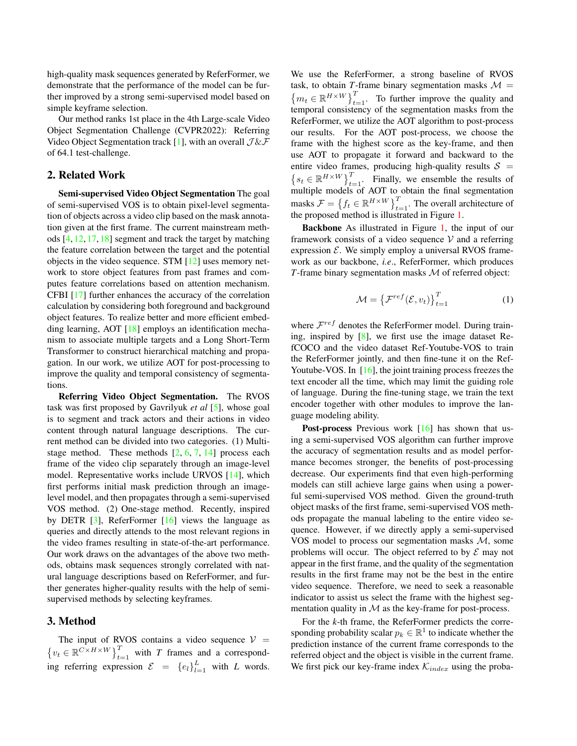<span id="page-1-0"></span>high-quality mask sequences generated by ReferFormer, we demonstrate that the performance of the model can be further improved by a strong semi-supervised model based on simple keyframe selection.

Our method ranks 1st place in the 4th Large-scale Video Object Segmentation Challenge (CVPR2022): Referring Video Object Segmentation track [\[1\]](#page-3-4), with an overall  $\mathcal{J}\&\mathcal{F}$ of 64.1 test-challenge.

## 2. Related Work

Semi-supervised Video Object Segmentation The goal of semi-supervised VOS is to obtain pixel-level segmentation of objects across a video clip based on the mask annotation given at the first frame. The current mainstream methods [\[4,](#page-3-5) [12,](#page-3-6) [17,](#page-3-7) [18\]](#page-3-8) segment and track the target by matching the feature correlation between the target and the potential objects in the video sequence. STM [\[12\]](#page-3-6) uses memory network to store object features from past frames and computes feature correlations based on attention mechanism. CFBI [\[17\]](#page-3-7) further enhances the accuracy of the correlation calculation by considering both foreground and background object features. To realize better and more efficient embedding learning, AOT [\[18\]](#page-3-8) employs an identification mechanism to associate multiple targets and a Long Short-Term Transformer to construct hierarchical matching and propagation. In our work, we utilize AOT for post-processing to improve the quality and temporal consistency of segmentations.

Referring Video Object Segmentation. The RVOS task was first proposed by Gavrilyuk *et al* [\[5\]](#page-3-9), whose goal is to segment and track actors and their actions in video content through natural language descriptions. The current method can be divided into two categories. (1) Multistage method. These methods  $[2, 6, 7, 14]$  $[2, 6, 7, 14]$  $[2, 6, 7, 14]$  $[2, 6, 7, 14]$  $[2, 6, 7, 14]$  $[2, 6, 7, 14]$  $[2, 6, 7, 14]$  process each frame of the video clip separately through an image-level model. Representative works include URVOS [\[14\]](#page-3-12), which first performs initial mask prediction through an imagelevel model, and then propagates through a semi-supervised VOS method. (2) One-stage method. Recently, inspired by DETR [\[3\]](#page-3-2), ReferFormer [\[16\]](#page-3-3) views the language as queries and directly attends to the most relevant regions in the video frames resulting in state-of-the-art performance. Our work draws on the advantages of the above two methods, obtains mask sequences strongly correlated with natural language descriptions based on ReferFormer, and further generates higher-quality results with the help of semisupervised methods by selecting keyframes.

## 3. Method

The input of RVOS contains a video sequence  $V =$  $\{v_t \in \mathbb{R}^{C \times H \times W}\}_{t=1}^T$  with *T* frames and a corresponding referring expression  $\mathcal{E} = \{e_l\}_{l=1}^L$  with *L* words. We use the ReferFormer, a strong baseline of RVOS task, to obtain *T*-frame binary segmentation masks  $\mathcal{M} =$  ${m_t \in \mathbb{R}^{H \times W}}_{t=1}^T$ . To further improve the quality and temporal consistency of the segmentation masks from the ReferFormer, we utilize the AOT algorithm to post-process our results. For the AOT post-process, we choose the frame with the highest score as the key-frame, and then use AOT to propagate it forward and backward to the entire video frames, producing high-quality results  $S =$  $\left\{s_t \in \mathbb{R}^{H \times W}\right\}_{t=1}^T$ . Finally, we ensemble the results of multiple models of AOT to obtain the final segmentation masks  $\mathcal{F} = \left\{ f_t \in \mathbb{R}^{H \times W} \right\}_{t=1}^T$ . The overall architecture of the proposed method is illustrated in Figure [1.](#page-0-0)

Backbone As illustrated in Figure [1,](#page-0-0) the input of our framework consists of a video sequence  $V$  and a referring expression  $\mathcal{E}$ . We simply employ a universal RVOS framework as our backbone, *i.e*., ReferFormer, which produces *T*-frame binary segmentation masks M of referred object:

$$
\mathcal{M} = \left\{ \mathcal{F}^{ref}(\mathcal{E}, v_t) \right\}_{t=1}^T \tag{1}
$$

where  $\mathcal{F}^{ref}$  denotes the ReferFormer model. During training, inspired by  $[8]$ , we first use the image dataset RefCOCO and the video dataset Ref-Youtube-VOS to train the ReferFormer jointly, and then fine-tune it on the Ref-Youtube-VOS. In [\[16\]](#page-3-3), the joint training process freezes the text encoder all the time, which may limit the guiding role of language. During the fine-tuning stage, we train the text encoder together with other modules to improve the language modeling ability.

Post-process Previous work [\[16\]](#page-3-3) has shown that using a semi-supervised VOS algorithm can further improve the accuracy of segmentation results and as model performance becomes stronger, the benefits of post-processing decrease. Our experiments find that even high-performing models can still achieve large gains when using a powerful semi-supervised VOS method. Given the ground-truth object masks of the first frame, semi-supervised VOS methods propagate the manual labeling to the entire video sequence. However, if we directly apply a semi-supervised VOS model to process our segmentation masks  $M$ , some problems will occur. The object referred to by  $\mathcal E$  may not appear in the first frame, and the quality of the segmentation results in the first frame may not be the best in the entire video sequence. Therefore, we need to seek a reasonable indicator to assist us select the frame with the highest segmentation quality in  $M$  as the key-frame for post-process.

For the *k*-th frame, the ReferFormer predicts the corresponding probability scalar  $p_k \in \mathbb{R}^1$  to indicate whether the prediction instance of the current frame corresponds to the referred object and the object is visible in the current frame. We first pick our key-frame index  $\mathcal{K}_{index}$  using the proba-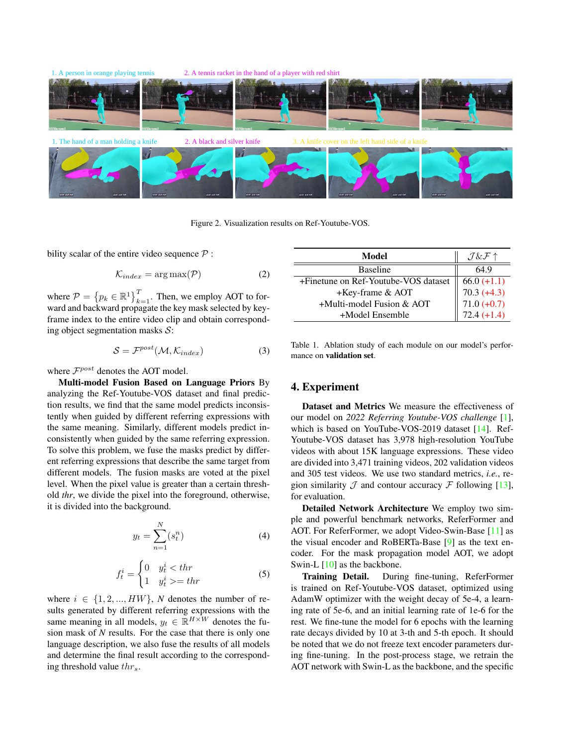<span id="page-2-1"></span>

Figure 2. Visualization results on Ref-Youtube-VOS.

bility scalar of the entire video sequence  $P$ :

$$
\mathcal{K}_{index} = \arg \max(\mathcal{P}) \tag{2}
$$

where  $\mathcal{P} = \left\{ p_k \in \mathbb{R}^1 \right\}_{k=1}^T$ . Then, we employ AOT to forward and backward propagate the key mask selected by keyframe index to the entire video clip and obtain corresponding object segmentation masks  $S$ :

$$
S = \mathcal{F}^{post}(\mathcal{M}, \mathcal{K}_{index})
$$
 (3)

where  $\mathcal{F}^{post}$  denotes the AOT model.

Multi-model Fusion Based on Language Priors By analyzing the Ref-Youtube-VOS dataset and final prediction results, we find that the same model predicts inconsistently when guided by different referring expressions with the same meaning. Similarly, different models predict inconsistently when guided by the same referring expression. To solve this problem, we fuse the masks predict by different referring expressions that describe the same target from different models. The fusion masks are voted at the pixel level. When the pixel value is greater than a certain threshold *thr*, we divide the pixel into the foreground, otherwise, it is divided into the background.

$$
y_t = \sum_{n=1}^{N} (s_t^n) \tag{4}
$$

$$
f_t^i = \begin{cases} 0 & y_t^i < thr \\ 1 & y_t^i > = thr \end{cases}
$$
 (5)

where  $i \in \{1, 2, ..., HW\}$ , *N* denotes the number of results generated by different referring expressions with the same meaning in all models,  $y_t \in \mathbb{R}^{H \times W}$  denotes the fusion mask of *N* results. For the case that there is only one language description, we also fuse the results of all models and determine the final result according to the corresponding threshold value  $thr<sub>s</sub>$ .

<span id="page-2-0"></span>

| Model                                |                                                                       |
|--------------------------------------|-----------------------------------------------------------------------|
| <b>Baseline</b>                      | 64.9                                                                  |
| +Finetune on Ref-Youtube-VOS dataset | $\overline{66.0 (+1.1)}$<br>70.3 (+4.3)<br>71.0 (+0.7)<br>72.4 (+1.4) |
| +Key-frame & AOT                     |                                                                       |
| $+$ Multi-model Fusion & AOT         |                                                                       |
| +Model Ensemble                      |                                                                       |

Table 1. Ablation study of each module on our model's performance on validation set.

## 4. Experiment

Dataset and Metrics We measure the effectiveness of our model on *2022 Referring Youtube-VOS challenge* [\[1\]](#page-3-4), which is based on YouTube-VOS-2019 dataset [\[14\]](#page-3-12). Ref-Youtube-VOS dataset has 3,978 high-resolution YouTube videos with about 15K language expressions. These video are divided into 3,471 training videos, 202 validation videos and 305 test videos. We use two standard metrics, *i.e.*, region similarity  $\mathcal J$  and contour accuracy  $\mathcal F$  following [\[13\]](#page-3-14), for evaluation.

Detailed Network Architecture We employ two simple and powerful benchmark networks, ReferFormer and AOT. For ReferFormer, we adopt Video-Swin-Base [\[11\]](#page-3-15) as the visual encoder and RoBERTa-Base [\[9\]](#page-3-16) as the text encoder. For the mask propagation model AOT, we adopt Swin-L  $[10]$  as the backbone.

Training Detail. During fine-tuning, ReferFormer is trained on Ref-Youtube-VOS dataset, optimized using AdamW optimizer with the weight decay of 5e-4, a learning rate of 5e-6, and an initial learning rate of 1e-6 for the rest. We fine-tune the model for 6 epochs with the learning rate decays divided by 10 at 3-th and 5-th epoch. It should be noted that we do not freeze text encoder parameters during fine-tuning. In the post-process stage, we retrain the AOT network with Swin-L as the backbone, and the specific